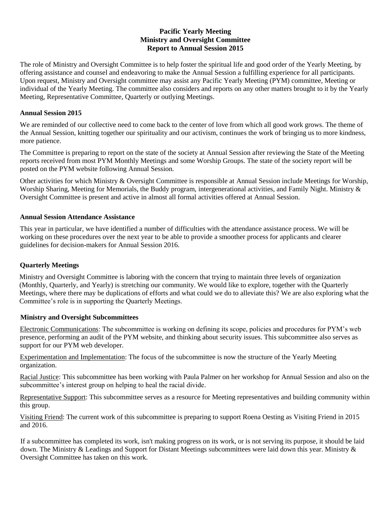### **Pacific Yearly Meeting Ministry and Oversight Committee Report to Annual Session 2015**

The role of Ministry and Oversight Committee is to help foster the spiritual life and good order of the Yearly Meeting, by offering assistance and counsel and endeavoring to make the Annual Session a fulfilling experience for all participants. Upon request, Ministry and Oversight committee may assist any Pacific Yearly Meeting (PYM) committee, Meeting or individual of the Yearly Meeting. The committee also considers and reports on any other matters brought to it by the Yearly Meeting, Representative Committee, Quarterly or outlying Meetings.

#### **Annual Session 2015**

We are reminded of our collective need to come back to the center of love from which all good work grows. The theme of the Annual Session, knitting together our spirituality and our activism, continues the work of bringing us to more kindness, more patience.

The Committee is preparing to report on the state of the society at Annual Session after reviewing the State of the Meeting reports received from most PYM Monthly Meetings and some Worship Groups. The state of the society report will be posted on the PYM website following Annual Session.

Other activities for which Ministry & Oversight Committee is responsible at Annual Session include Meetings for Worship, Worship Sharing, Meeting for Memorials, the Buddy program, intergenerational activities, and Family Night. Ministry & Oversight Committee is present and active in almost all formal activities offered at Annual Session.

#### **Annual Session Attendance Assistance**

This year in particular, we have identified a number of difficulties with the attendance assistance process. We will be working on these procedures over the next year to be able to provide a smoother process for applicants and clearer guidelines for decision-makers for Annual Session 2016.

# **Quarterly Meetings**

Ministry and Oversight Committee is laboring with the concern that trying to maintain three levels of organization (Monthly, Quarterly, and Yearly) is stretching our community. We would like to explore, together with the Quarterly Meetings, where there may be duplications of efforts and what could we do to alleviate this? We are also exploring what the Committee's role is in supporting the Quarterly Meetings.

# **Ministry and Oversight Subcommittees**

Electronic Communications: The subcommittee is working on defining its scope, policies and procedures for PYM's web presence, performing an audit of the PYM website, and thinking about security issues. This subcommittee also serves as support for our PYM web developer.

Experimentation and Implementation: The focus of the subcommittee is now the structure of the Yearly Meeting organization.

Racial Justice: This subcommittee has been working with Paula Palmer on her workshop for Annual Session and also on the subcommittee's interest group on helping to heal the racial divide.

Representative Support: This subcommittee serves as a resource for Meeting representatives and building community within this group.

Visiting Friend: The current work of this subcommittee is preparing to support Roena Oesting as Visiting Friend in 2015 and 2016.

If a subcommittee has completed its work, isn't making progress on its work, or is not serving its purpose, it should be laid down. The Ministry & Leadings and Support for Distant Meetings subcommittees were laid down this year. Ministry & Oversight Committee has taken on this work.